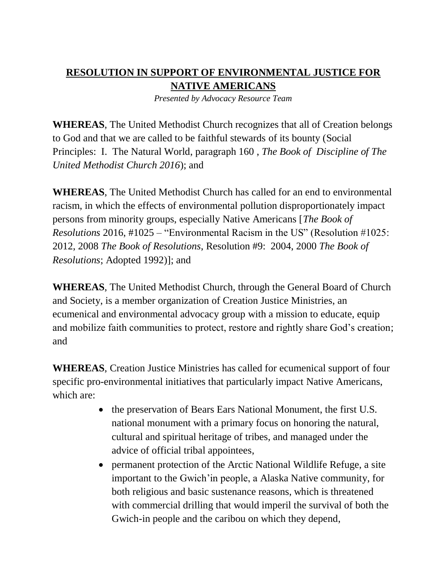## **RESOLUTION IN SUPPORT OF ENVIRONMENTAL JUSTICE FOR NATIVE AMERICANS**

*Presented by Advocacy Resource Team*

**WHEREAS**, The United Methodist Church recognizes that all of Creation belongs to God and that we are called to be faithful stewards of its bounty (Social Principles: I. The Natural World, paragraph 160 , *The Book of Discipline of The United Methodist Church 2016*); and

**WHEREAS**, The United Methodist Church has called for an end to environmental racism, in which the effects of environmental pollution disproportionately impact persons from minority groups, especially Native Americans [*The Book of Resolutions* 2016, #1025 – "Environmental Racism in the US" (Resolution #1025: 2012, 2008 *The Book of Resolutions*, Resolution #9: 2004, 2000 *The Book of Resolutions*; Adopted 1992)]; and

**WHEREAS**, The United Methodist Church, through the General Board of Church and Society, is a member organization of Creation Justice Ministries, an ecumenical and environmental advocacy group with a mission to educate, equip and mobilize faith communities to protect, restore and rightly share God's creation; and

**WHEREAS**, Creation Justice Ministries has called for ecumenical support of four specific pro-environmental initiatives that particularly impact Native Americans, which are:

- the preservation of Bears Ears National Monument, the first U.S. national monument with a primary focus on honoring the natural, cultural and spiritual heritage of tribes, and managed under the advice of official tribal appointees,
- permanent protection of the Arctic National Wildlife Refuge, a site important to the Gwich'in people, a Alaska Native community, for both religious and basic sustenance reasons, which is threatened with commercial drilling that would imperil the survival of both the Gwich-in people and the caribou on which they depend,